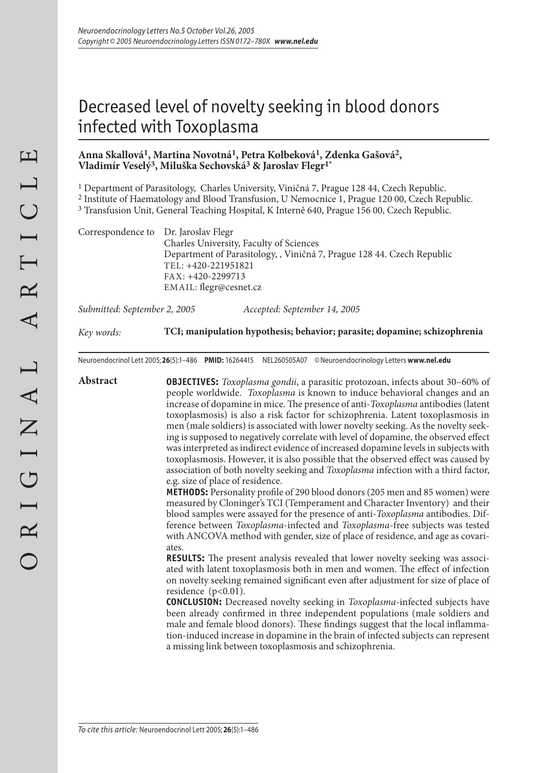# Decreased level of novelty seeking in blood donors infected with Toxoplasma

# **Anna Skallová1, Martina Novotná1, Petra Kolbeková1, Zdenka Gašová2, Vladimír Veselý3, Miluška Sechovská3 & Jaroslav Flegr1\***

1 Department of Parasitology, Charles University, Viničná 7, Prague 128 44, Czech Republic.

2 Institute of Haematology and Blood Transfusion, U Nemocnice 1, Prague 120 00, Czech Republic.

3 Transfusion Unit, General Teaching Hospital, K Interně 640, Prague 156 00, Czech Republic.

Correspondence to Dr. Jaroslav Flegr Charles University, Faculty of Sciences Department of Parasitology, , Viničná 7, Prague 128 44. Czech Republic TEL: +420-221951821 FAX: +420-2299713 EMAIL: flegr@cesnet.cz

*Submitted: September 2, 2005 Accepted: September 14, 2005*

*Key words:* **TCI; manipulation hypothesis; behavior; parasite; dopamine; schizophrenia**

Neuroendocrinol Lett 2005; **26**(5):–486 **PMID:** 16264415 NEL260505A07 ©Neuroendocrinology Letters **www.nel.edu**

**Abstract OBJECTIVES:** *Toxoplasma gondii*, a parasitic protozoan, infects about 30–60% of people worldwide. *Toxoplasma* is known to induce behavioral changes and an increase of dopamine in mice. The presence of anti-*Toxoplasma* antibodies (latent toxoplasmosis) is also a risk factor for schizophrenia. Latent toxoplasmosis in men (male soldiers) is associated with lower novelty seeking. As the novelty seeking is supposed to negatively correlate with level of dopamine, the observed effect was interpreted as indirect evidence of increased dopamine levels in subjects with toxoplasmosis. However, it is also possible that the observed effect was caused by association of both novelty seeking and *Toxoplasma* infection with a third factor, e.g. size of place of residence.

**METHODS:** Personality profile of 290 blood donors (205 men and 85 women) were measured by Cloninger's TCI (Temperament and Character Inventory) and their blood samples were assayed for the presence of anti-*Toxoplasma* antibodies. Difference between *Toxoplasma*-infected and *Toxoplasma*-free subjects was tested with ANCOVA method with gender, size of place of residence, and age as covariates.

**RESULTS:** The present analysis revealed that lower novelty seeking was associated with latent toxoplasmosis both in men and women. The effect of infection on novelty seeking remained significant even after adjustment for size of place of residence  $(p<0.01)$ .

**CONCLUSION:** Decreased novelty seeking in *Toxoplasma*-infected subjects have been already confirmed in three independent populations (male soldiers and male and female blood donors). These findings suggest that the local inflammation-induced increase in dopamine in the brain of infected subjects can represent a missing link between toxoplasmosis and schizophrenia.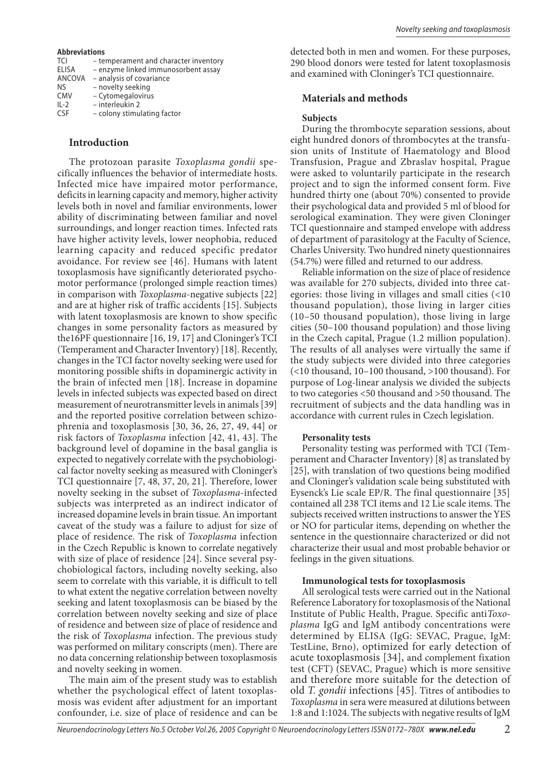#### **Abbreviations**

| <b>TCI</b>   | - temperament and character inventory |
|--------------|---------------------------------------|
| <b>ELISA</b> | - enzyme linked immunosorbent assay   |
| ANCOVA       | - analysis of covariance              |
| NS           | - novelty seeking                     |
| <b>CMV</b>   | - Cytomegalovirus                     |
| $IL-2$       | - interleukin 2                       |
| <b>CSF</b>   | - colony stimulating factor           |
|              |                                       |

## **Introduction**

The protozoan parasite *Toxoplasma gondii* specifically influences the behavior of intermediate hosts. Infected mice have impaired motor performance, deficits in learning capacity and memory, higher activity levels both in novel and familiar environments, lower ability of discriminating between familiar and novel surroundings, and longer reaction times. Infected rats have higher activity levels, lower neophobia, reduced learning capacity and reduced specific predator avoidance. For review see [46]. Humans with latent toxoplasmosis have significantly deteriorated psychomotor performance (prolonged simple reaction times) in comparison with *Toxoplasma*-negative subjects [22] and are at higher risk of traffic accidents [15]. Subjects with latent toxoplasmosis are known to show specific changes in some personality factors as measured by the16PF questionnaire [16, 19, 17] and Cloninger's TCI (Temperament and Character Inventory) [18]. Recently, changes in the TCI factor novelty seeking were used for monitoring possible shifts in dopaminergic activity in the brain of infected men [18]. Increase in dopamine levels in infected subjects was expected based on direct measurement of neurotransmitter levels in animals [39] and the reported positive correlation between schizophrenia and toxoplasmosis [30, 36, 26, 27, 49, 44] or risk factors of *Toxoplasma* infection [42, 41, 43]. The background level of dopamine in the basal ganglia is expected to negatively correlate with the psychobiological factor novelty seeking as measured with Cloninger's TCI questionnaire [7, 48, 37, 20, 21]. Therefore, lower novelty seeking in the subset of *Toxoplasma*-infected subjects was interpreted as an indirect indicator of increased dopamine levels in brain tissue. An important caveat of the study was a failure to adjust for size of place of residence. The risk of *Toxoplasma* infection in the Czech Republic is known to correlate negatively with size of place of residence [24]. Since several psychobiological factors, including novelty seeking, also seem to correlate with this variable, it is difficult to tell to what extent the negative correlation between novelty seeking and latent toxoplasmosis can be biased by the correlation between novelty seeking and size of place of residence and between size of place of residence and the risk of *Toxoplasma* infection. The previous study was performed on military conscripts (men). There are no data concerning relationship between toxoplasmosis and novelty seeking in women.

The main aim of the present study was to establish whether the psychological effect of latent toxoplasmosis was evident after adjustment for an important confounder, i.e. size of place of residence and can be detected both in men and women. For these purposes, 290 blood donors were tested for latent toxoplasmosis and examined with Cloninger's TCI questionnaire.

## **Materials and methods**

#### **Subjects**

During the thrombocyte separation sessions, about eight hundred donors of thrombocytes at the transfusion units of Institute of Haematology and Blood Transfusion, Prague and Zbraslav hospital, Prague were asked to voluntarily participate in the research project and to sign the informed consent form. Five hundred thirty one (about 70%) consented to provide their psychological data and provided 5 ml of blood for serological examination. They were given Cloninger TCI questionnaire and stamped envelope with address of department of parasitology at the Faculty of Science, Charles University. Two hundred ninety questionnaires (54.7%) were filled and returned to our address.

Reliable information on the size of place of residence was available for 270 subjects, divided into three categories: those living in villages and small cities (<10 thousand population), those living in larger cities (10–50 thousand population), those living in large cities (50–100 thousand population) and those living in the Czech capital, Prague (1.2 million population). The results of all analyses were virtually the same if the study subjects were divided into three categories (<10 thousand, 10–100 thousand, >100 thousand). For purpose of Log-linear analysis we divided the subjects to two categories <50 thousand and >50 thousand. The recruitment of subjects and the data handling was in accordance with current rules in Czech legislation.

## **Personality tests**

Personality testing was performed with TCI (Temperament and Character Inventory) [8] as translated by [25], with translation of two questions being modified and Cloninger's validation scale being substituted with Eysenck's Lie scale EP/R. The final questionnaire [35] contained all 238 TCI items and 12 Lie scale items. The subjects received written instructions to answer the YES or NO for particular items, depending on whether the sentence in the questionnaire characterized or did not characterize their usual and most probable behavior or feelings in the given situations.

#### **Immunological tests for toxoplasmosis**

All serological tests were carried out in the National Reference Laboratory for toxoplasmosis of the National Institute of Public Health, Prague. Specific anti*Toxoplasma* IgG and IgM antibody concentrations were determined by ELISA (IgG: SEVAC, Prague, IgM: TestLine, Brno), optimized for early detection of acute toxoplasmosis [34], and complement fixation test (CFT) (SEVAC, Prague) which is more sensitive and therefore more suitable for the detection of old *T. gondii* infections [45]. Titres of antibodies to *Toxoplasma* in sera were measured at dilutions between 1:8 and 1:1024. The subjects with negative results of IgM

 $\mathcal{D}_{\mathcal{L}}$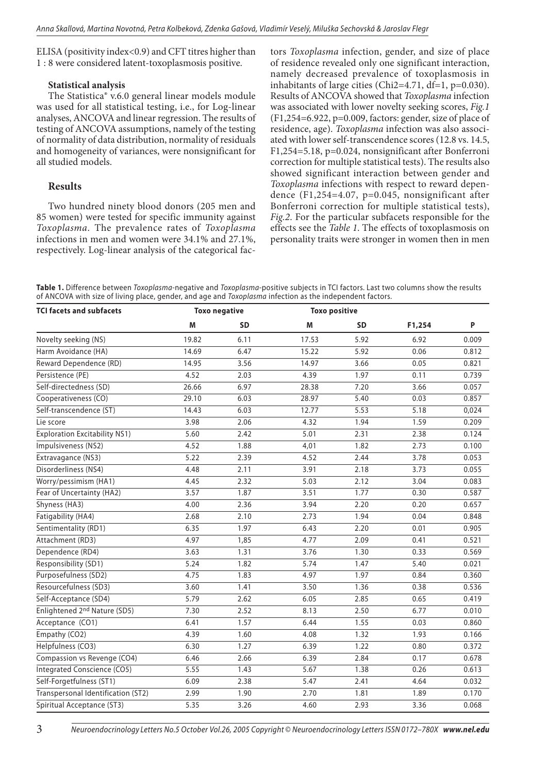ELISA (positivity index<0.9) and CFT titres higher than 1 : 8 were considered latent-toxoplasmosis positive.

## **Statistical analysis**

The Statistica® v.6.0 general linear models module was used for all statistical testing, i.e., for Log-linear analyses, ANCOVA and linear regression. The results of testing of ANCOVA assumptions, namely of the testing of normality of data distribution, normality of residuals and homogeneity of variances, were nonsignificant for all studied models.

# **Results**

Two hundred ninety blood donors (205 men and 85 women) were tested for specific immunity against *Toxoplasma*. The prevalence rates of *Toxoplasma* infections in men and women were 34.1% and 27.1%, respectively. Log-linear analysis of the categorical factors *Toxoplasma* infection, gender, and size of place of residence revealed only one significant interaction, namely decreased prevalence of toxoplasmosis in inhabitants of large cities (Chi2=4.71, df=1, p=0.030). Results of ANCOVA showed that *Toxoplasma* infection was associated with lower novelty seeking scores, *Fig.1* (F1,254=6.922, p=0.009, factors: gender, size of place of residence, age). *Toxoplasma* infection was also associated with lower self-transcendence scores (12.8 vs. 14.5, F1,254=5.18, p=0.024, nonsignificant after Bonferroni correction for multiple statistical tests). The results also showed significant interaction between gender and *Toxoplasma* infections with respect to reward dependence (F1,254=4.07, p=0.045, nonsignificant after Bonferroni correction for multiple statistical tests), *Fig.2*. For the particular subfacets responsible for the effects see the *Table 1*. The effects of toxoplasmosis on personality traits were stronger in women then in men

**Table 1.** Difference between *Toxoplasma*-negative and *Toxoplasma*-positive subjects in TCI factors. Last two columns show the results of ANCOVA with size of living place, gender, and age and *Toxoplasma* infection as the independent factors.

| <b>TCI facets and subfacets</b>          | <b>Toxo negative</b> |           | <b>Toxo positive</b> |                   |        |       |
|------------------------------------------|----------------------|-----------|----------------------|-------------------|--------|-------|
|                                          | М                    | <b>SD</b> | M                    | <b>SD</b>         | F1,254 | P     |
| Novelty seeking (NS)                     | 19.82                | 6.11      | 17.53                | 5.92              | 6.92   | 0.009 |
| Harm Avoidance (HA)                      | 14.69                | 6.47      | 15.22                | $\overline{5.92}$ | 0.06   | 0.812 |
| Reward Dependence (RD)                   | 14.95                | 3.56      | 14.97                | 3.66              | 0.05   | 0.821 |
| Persistence (PE)                         | 4.52                 | 2.03      | 4.39                 | 1.97              | 0.11   | 0.739 |
| Self-directedness (SD)                   | 26.66                | 6.97      | 28.38                | 7.20              | 3.66   | 0.057 |
| Cooperativeness (CO)                     | 29.10                | 6.03      | 28.97                | 5.40              | 0.03   | 0.857 |
| Self-transcendence (ST)                  | 14.43                | 6.03      | 12.77                | 5.53              | 5.18   | 0,024 |
| Lie score                                | 3.98                 | 2.06      | 4.32                 | 1.94              | 1.59   | 0.209 |
| <b>Exploration Excitability NS1)</b>     | 5.60                 | 2.42      | 5.01                 | 2.31              | 2.38   | 0.124 |
| Impulsiveness (NS2)                      | 4.52                 | 1.88      | 4,01                 | 1.82              | 2.73   | 0.100 |
| Extravagance (NS3)                       | 5.22                 | 2.39      | 4.52                 | 2.44              | 3.78   | 0.053 |
| Disorderliness (NS4)                     | 4.48                 | 2.11      | 3.91                 | 2.18              | 3.73   | 0.055 |
| Worry/pessimism (HA1)                    | 4.45                 | 2.32      | 5.03                 | 2.12              | 3.04   | 0.083 |
| Fear of Uncertainty (HA2)                | 3.57                 | 1.87      | 3.51                 | 1.77              | 0.30   | 0.587 |
| Shyness (HA3)                            | 4.00                 | 2.36      | 3.94                 | 2.20              | 0.20   | 0.657 |
| Fatigability (HA4)                       | 2.68                 | 2.10      | 2.73                 | 1.94              | 0.04   | 0.848 |
| Sentimentality (RD1)                     | 6.35                 | 1.97      | 6.43                 | 2.20              | 0.01   | 0.905 |
| Attachment (RD3)                         | 4.97                 | 1,85      | 4.77                 | 2.09              | 0.41   | 0.521 |
| Dependence (RD4)                         | 3.63                 | 1.31      | 3.76                 | 1.30              | 0.33   | 0.569 |
| Responsibility (SD1)                     | 5.24                 | 1.82      | $\overline{5.74}$    | 1.47              | 5.40   | 0.021 |
| Purposefulness (SD2)                     | 4.75                 | 1.83      | 4.97                 | 1.97              | 0.84   | 0.360 |
| Resourcefulness (SD3)                    | 3.60                 | 1.41      | 3.50                 | 1.36              | 0.38   | 0.536 |
| Self-Acceptance (SD4)                    | 5.79                 | 2.62      | 6.05                 | 2.85              | 0.65   | 0.419 |
| Enlightened 2 <sup>nd</sup> Nature (SD5) | 7.30                 | 2.52      | 8.13                 | 2.50              | 6.77   | 0.010 |
| Acceptance (CO1)                         | 6.41                 | 1.57      | 6.44                 | 1.55              | 0.03   | 0.860 |
| Empathy (CO2)                            | 4.39                 | 1.60      | 4.08                 | 1.32              | 1.93   | 0.166 |
| Helpfulness (CO3)                        | 6.30                 | 1.27      | 6.39                 | 1.22              | 0.80   | 0.372 |
| Compassion vs Revenge (CO4)              | 6.46                 | 2.66      | 6.39                 | 2.84              | 0.17   | 0.678 |
| <b>Integrated Conscience (CO5)</b>       | 5.55                 | 1.43      | 5.67                 | 1.38              | 0.26   | 0.613 |
| Self-Forgetfulness (ST1)                 | 6.09                 | 2.38      | 5.47                 | 2.41              | 4.64   | 0.032 |
| Transpersonal Identification (ST2)       | 2.99                 | 1.90      | 2.70                 | 1.81              | 1.89   | 0.170 |
| Spiritual Acceptance (ST3)               | 5.35                 | 3.26      | 4.60                 | 2.93              | 3.36   | 0.068 |

*Neuroendocrinology Letters No.5 October Vol.26, 2005 Copyright © Neuroendocrinology Letters ISSN 0172–780X www.nel.edu*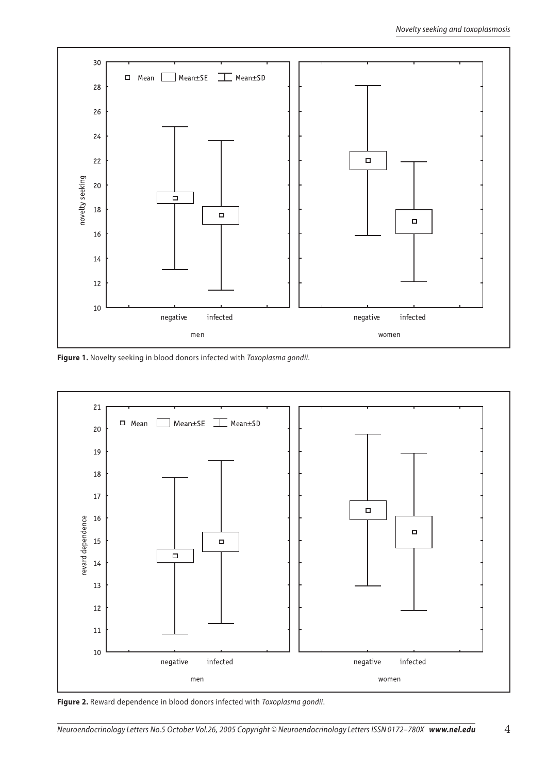

**Figure 1.** Novelty seeking in blood donors infected with *Toxoplasma gondii*.



**Figure 2.** Reward dependence in blood donors infected with *Toxoplasma gondii*.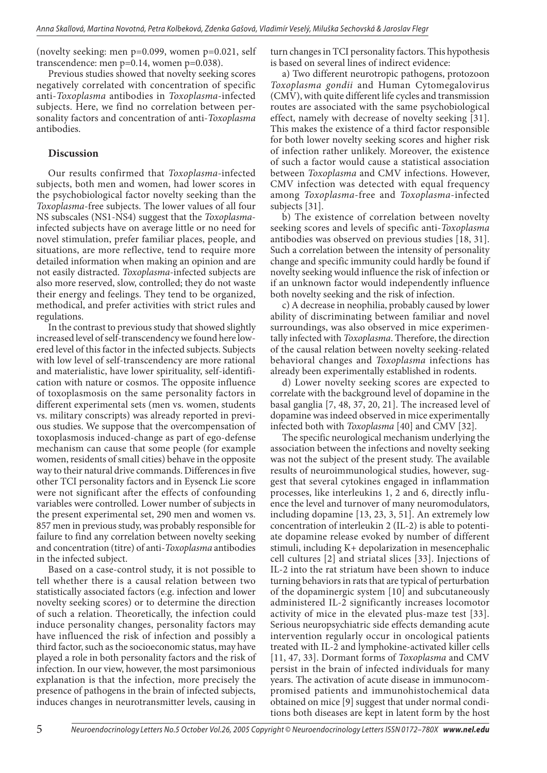(novelty seeking: men p=0.099, women p=0.021, self transcendence: men p=0.14, women p=0.038).

Previous studies showed that novelty seeking scores negatively correlated with concentration of specific anti-*Toxoplasma* antibodies in *Toxoplasma*-infected subjects. Here, we find no correlation between personality factors and concentration of anti-*Toxoplasma* antibodies.

# **Discussion**

Our results confirmed that *Toxoplasma*-infected subjects, both men and women, had lower scores in the psychobiological factor novelty seeking than the *Toxoplasma*-free subjects. The lower values of all four NS subscales (NS1-NS4) suggest that the *Toxoplasma*infected subjects have on average little or no need for novel stimulation, prefer familiar places, people, and situations, are more reflective, tend to require more detailed information when making an opinion and are not easily distracted. *Toxoplasma*-infected subjects are also more reserved, slow, controlled; they do not waste their energy and feelings. They tend to be organized, methodical, and prefer activities with strict rules and regulations.

In the contrast to previous study that showed slightly increased level of self-transcendency we found here lowered level of this factor in the infected subjects. Subjects with low level of self-transcendency are more rational and materialistic, have lower spirituality, self-identification with nature or cosmos. The opposite influence of toxoplasmosis on the same personality factors in different experimental sets (men vs. women, students vs. military conscripts) was already reported in previous studies. We suppose that the overcompensation of toxoplasmosis induced-change as part of ego-defense mechanism can cause that some people (for example women, residents of small cities) behave in the opposite way to their natural drive commands. Differences in five other TCI personality factors and in Eysenck Lie score were not significant after the effects of confounding variables were controlled. Lower number of subjects in the present experimental set, 290 men and women vs. 857 men in previous study, was probably responsible for failure to find any correlation between novelty seeking and concentration (titre) of anti-*Toxoplasma* antibodies in the infected subject.

Based on a case-control study, it is not possible to tell whether there is a causal relation between two statistically associated factors (e.g. infection and lower novelty seeking scores) or to determine the direction of such a relation. Theoretically, the infection could induce personality changes, personality factors may have influenced the risk of infection and possibly a third factor, such as the socioeconomic status, may have played a role in both personality factors and the risk of infection. In our view, however, the most parsimonious explanation is that the infection, more precisely the presence of pathogens in the brain of infected subjects, induces changes in neurotransmitter levels, causing in turn changes in TCI personality factors. This hypothesis is based on several lines of indirect evidence:

a) Two different neurotropic pathogens, protozoon *Toxoplasma gondii* and Human Cytomegalovirus (CMV), with quite different life cycles and transmission routes are associated with the same psychobiological effect, namely with decrease of novelty seeking [31]. This makes the existence of a third factor responsible for both lower novelty seeking scores and higher risk of infection rather unlikely. Moreover, the existence of such a factor would cause a statistical association between *Toxoplasma* and CMV infections. However, CMV infection was detected with equal frequency among *Toxoplasma*-free and *Toxoplasma*-infected subjects [31].

b) The existence of correlation between novelty seeking scores and levels of specific anti-*Toxoplasma* antibodies was observed on previous studies [18, 31]. Such a correlation between the intensity of personality change and specific immunity could hardly be found if novelty seeking would influence the risk of infection or if an unknown factor would independently influence both novelty seeking and the risk of infection.

c) A decrease in neophilia, probably caused by lower ability of discriminating between familiar and novel surroundings, was also observed in mice experimentally infected with *Toxoplasma*. Therefore, the direction of the causal relation between novelty seeking-related behavioral changes and *Toxoplasma* infections has already been experimentally established in rodents.

d) Lower novelty seeking scores are expected to correlate with the background level of dopamine in the basal ganglia [7, 48, 37, 20, 21]. The increased level of dopamine was indeed observed in mice experimentally infected both with *Toxoplasma* [40] and CMV [32].

The specific neurological mechanism underlying the association between the infections and novelty seeking was not the subject of the present study. The available results of neuroimmunological studies, however, suggest that several cytokines engaged in inflammation processes, like interleukins 1, 2 and 6, directly influence the level and turnover of many neuromodulators, including dopamine [13, 23, 3, 51]. An extremely low concentration of interleukin 2 (IL-2) is able to potentiate dopamine release evoked by number of different stimuli, including K+ depolarization in mesencephalic cell cultures [2] and striatal slices [33]. Injections of IL-2 into the rat striatum have been shown to induce turning behaviors in rats that are typical of perturbation of the dopaminergic system [10] and subcutaneously administered IL-2 significantly increases locomotor activity of mice in the elevated plus-maze test [33]. Serious neuropsychiatric side effects demanding acute intervention regularly occur in oncological patients treated with IL-2 and lymphokine-activated killer cells [11, 47, 33]. Dormant forms of *Toxoplasma* and CMV persist in the brain of infected individuals for many years. The activation of acute disease in immunocompromised patients and immunohistochemical data obtained on mice [9] suggest that under normal conditions both diseases are kept in latent form by the host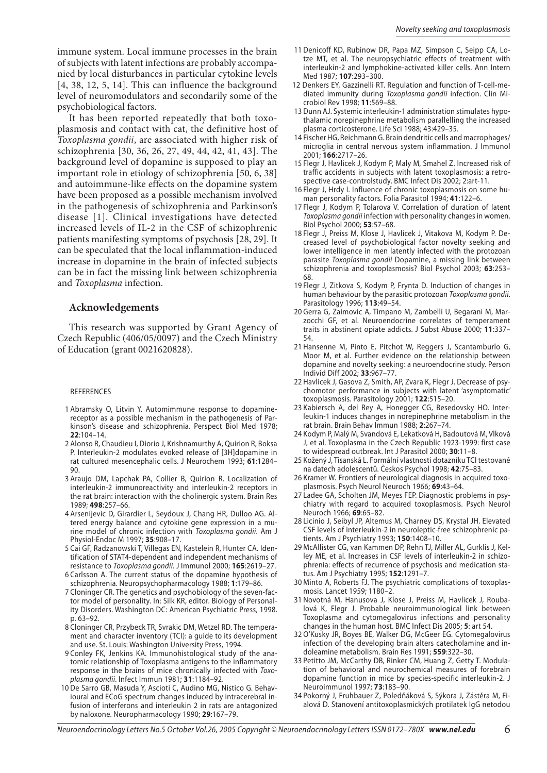immune system. Local immune processes in the brain of subjects with latent infections are probably accompanied by local disturbances in particular cytokine levels [4, 38, 12, 5, 14]. This can influence the background level of neuromodulators and secondarily some of the psychobiological factors.

It has been reported repeatedly that both toxoplasmosis and contact with cat, the definitive host of *Toxoplasma gondii*, are associated with higher risk of schizophrenia [30, 36, 26, 27, 49, 44, 42, 41, 43]. The background level of dopamine is supposed to play an important role in etiology of schizophrenia [50, 6, 38] and autoimmune-like effects on the dopamine system have been proposed as a possible mechanism involved in the pathogenesis of schizophrenia and Parkinson's disease [1]. Clinical investigations have detected increased levels of IL-2 in the CSF of schizophrenic patients manifesting symptoms of psychosis [28, 29]. It can be speculated that the local inflammation-induced increase in dopamine in the brain of infected subjects can be in fact the missing link between schizophrenia and *Toxoplasma* infection.

## **Acknowledgements**

This research was supported by Grant Agency of Czech Republic (406/05/0097) and the Czech Ministry of Education (grant 0021620828).

#### REFERENCES

- 1 Abramsky O, Litvin Y. Automimmune response to dopaminereceptor as a possible mechanism in the pathogenesis of Parkinson's disease and schizophrenia. Perspect Biol Med 1978; **22**:104–14.
- 2 Alonso R, Chaudieu I, Diorio J, Krishnamurthy A, Quirion R, Boksa P. Interleukin-2 modulates evoked release of [3H]dopamine in rat cultured mesencephalic cells. J Neurochem 1993; **61**:1284– 90.
- 3 Araujo DM, Lapchak PA, Collier B, Quirion R. Localization of interleukin-2 immunoreactivity and interleukin-2 receptors in the rat brain: interaction with the cholinergic system. Brain Res 1989; **498**:257–66.
- 4 Arsenijevic D, Girardier L, Seydoux J, Chang HR, Dulloo AG. Altered energy balance and cytokine gene expression in a murine model of chronic infection with *Toxoplasma gondii*. Am J Physiol-Endoc M 1997; **35**:908–17.
- 5 Cai GF, Radzanowski T, Villegas EN, Kastelein R, Hunter CA. Identification of STAT4-dependent and independent mechanisms of resistance to *Toxoplasma gondii*. J Immunol 2000; **165**:2619–27.
- 6 Carlsson A. The current status of the dopamine hypothesis of schizophrenia. Neuropsychopharmacology 1988; **1**:179–86.
- 7 Cloninger CR. The genetics and psychobiology of the seven-factor model of personality. In: Silk KR, editor. Biology of Personality Disorders. Washington DC: American Psychiatric Press, 1998. p. 63–92.
- 8 Cloninger CR, Przybeck TR, Svrakic DM, Wetzel RD. The temperament and character inventory (TCI): a guide to its development and use. St. Louis: Washington University Press, 1994.
- 9 Conley FK, Jenkins KA. Immunohistological study of the anatomic relationship of Toxoplasma antigens to the inflammatory response in the brains of mice chronically infected with *Toxoplasma gondii*. Infect Immun 1981; **31**:1184–92.
- 10 De Sarro GB, Masuda Y, Ascioti C, Audino MG, Nistico G. Behavioural and ECoG spectrum changes induced by intracerebral infusion of interferons and interleukin 2 in rats are antagonized by naloxone. Neuropharmacology 1990; **29**:167–79.
- 11 Denicoff KD, Rubinow DR, Papa MZ, Simpson C, Seipp CA, Lotze MT, et al. The neuropsychiatric effects of treatment with interleukin-2 and lymphokine-activated killer cells. Ann Intern Med 1987; **107**:293–300.
- 12 Denkers EY, Gazzinelli RT. Regulation and function of T-cell-mediated immunity during *Toxoplasma gondii* infection. Clin Microbiol Rev 1998; **11**:569–88.
- 13 Dunn AJ. Systemic interleukin-1 administration stimulates hypothalamic norepinephrine metabolism parallelling the increased plasma corticosterone. Life Sci 1988; 43:429–35.
- 14 Fischer HG, Reichmann G. Brain dendritic cells and macrophages/ microglia in central nervous system inflammation. J Immunol 2001; **166**:2717–26.
- 15 Flegr J, Havlicek J, Kodym P, Maly M, Smahel Z. Increased risk of traffic accidents in subjects with latent toxoplasmosis: a retrospective case-controlstudy. BMC Infect Dis 2002; 2:art-11.
- 16 Flegr J, Hrdy I. Influence of chronic toxoplasmosis on some human personality factors. Folia Parasitol 1994; **41**:122–6.
- 17 Flegr J, Kodym P, Tolarova V. Correlation of duration of latent *Toxoplasma gondii* infection with personality changes in women. Biol Psychol 2000; **53**:57–68.
- 18 Flegr J, Preiss M, Klose J, Havlicek J, Vitakova M, Kodym P. Decreased level of psychobiological factor novelty seeking and lower intelligence in men latently infected with the protozoan parasite *Toxoplasma gondii* Dopamine, a missing link between schizophrenia and toxoplasmosis? Biol Psychol 2003; **63**:253– 68.
- 19 Flegr J, Zitkova S, Kodym P, Frynta D. Induction of changes in human behaviour by the parasitic protozoan *Toxoplasma gondii*. Parasitology 1996; **113**:49–54.
- 20 Gerra G, Zaimovic A, Timpano M, Zambelli U, Begarani M, Marzocchi GF, et al. Neuroendocrine correlates of temperament traits in abstinent opiate addicts. J Subst Abuse 2000; **11**:337– 54.
- 21 Hansenne M, Pinto E, Pitchot W, Reggers J, Scantamburlo G, Moor M, et al. Further evidence on the relationship between dopamine and novelty seeking: a neuroendocrine study. Person Individ Diff 2002; **33**:967–77.
- 22 Havlicek J, Gasova Z, Smith, AP, Zvara K, Flegr J. Decrease of psychomotor performance in subjects with latent 'asymptomatic' toxoplasmosis. Parasitology 2001; **122**:515–20.
- 23 Kabiersch A, del Rey A, Honegger CG, Besedovsky HO. Interleukin-1 induces changes in norepinephrine metabolism in the rat brain. Brain Behav Immun 1988; **2**:267–74.
- 24 Kodym P, Malý M, Svandová E, Lekatková H, Badoutová M, Vlková J, et al. Toxoplasma in the Czech Republic 1923-1999: first case to widespread outbreak. Int J Parasitol 2000; **30**:11–8.
- 25 Kožený J, Tisanská L. Formální vlastnosti dotazníku TCI testované na datech adolescentů. Českos Psychol 1998; **42**:75–83.
- 26 Kramer W. Frontiers of neurological diagnosis in acquired toxoplasmosis. Psych Neurol Neuroch 1966; **69**:43–64.
- 27 Ladee GA, Scholten JM, Meyes FEP. Diagnostic problems in psychiatry with regard to acquired toxoplasmosis. Psych Neurol Neuroch 1966; **69**:65–82.
- 28 Licinio J, Seibyl JP, Altemus M, Charney DS, Krystal JH. Elevated CSF levels of interleukin-2 in neuroleptic-free schizophrenic patients. Am J Psychiatry 1993; **150**:1408–10.
- 29 McAllister CG, van Kammen DP, Rehn TJ, Miller AL, Gurklis J, Kelley ME, et al. Increases in CSF levels of interleukin-2 in schizophrenia: effects of recurrence of psychosis and medication status. Am J Psychiatry 1995; **152**:1291–7.
- 30 Minto A, Roberts FJ. The psychiatric complications of toxoplasmosis. Lancet 1959; 1180–2.
- 31 Novotná M, Hanusova J, Klose J, Preiss M, Havlicek J, Roubalová K, Flegr J. Probable neuroimmunological link between Toxoplasma and cytomegalovirus infections and personality changes in the human host. BMC Infect Dis 2005; **5**: art 54.
- 32 O'Kusky JR, Boyes BE, Walker DG, McGeer EG. Cytomegalovirus infection of the developing brain alters catecholamine and indoleamine metabolism. Brain Res 1991; **559**:322–30.
- 33 Petitto JM, McCarthy DB, Rinker CM, Huang Z, Getty T. Modulation of behavioral and neurochemical measures of forebrain dopamine function in mice by species-specific interleukin-2. J Neuroimmunol 1997; **73**:183–90.
- 34 Pokorný J, Fruhbauer Z, Poledňáková S, Sýkora J, Zástěra M, Fialová D. Stanovení antitoxoplasmických protilatek IgG netodou